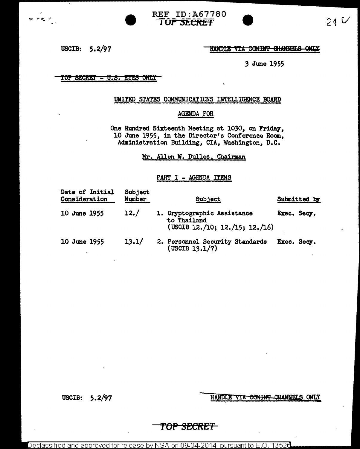

USCIB: 5.2/97

پ - ر<sub>گ</sub> ء

#### HANDLE VIA COMINT GHANNELS ONLY

*3* June 1955

#### <u>TOP SECRET - U.S. EYES ONLY</u>

#### UNITED STATES COMMUNICATIONS INTELLIGENCE BOARD

## AGENDA FOR

One Hmdred Sixteenth Meeting at 1030, on Friday, 10 June 1955, in the Director's Conference Room, Administration Building, CIA, Washington, D.C.

Mr. Allen W. Dulles, Chairman

## PART I - AGENDA ITEMS

| Date of Initial<br>Consideration | Subject<br>Number | Subject                                                                      | Submitted by |
|----------------------------------|-------------------|------------------------------------------------------------------------------|--------------|
| 10 June 1955                     | 12./              | 1. Cryptographic Assistance<br>to Thailand<br>(USCIB 12./10; 12./15; 12./16) | Exec. Secy.  |
| 10 June 1955                     | 13.1/             | 2. Personnel Security Standards<br>$($ USCIB 13.1 $/7)$                      | Exec. Secy.  |

USCIB: 5.2/97

HANDLE VIA COMINT CHANNELS ONLY

# *TOP SECRET*

Declassified and approved for release by NSA on 09-04-2014  $\,$  pursuant to E.O. 13526  $\,$